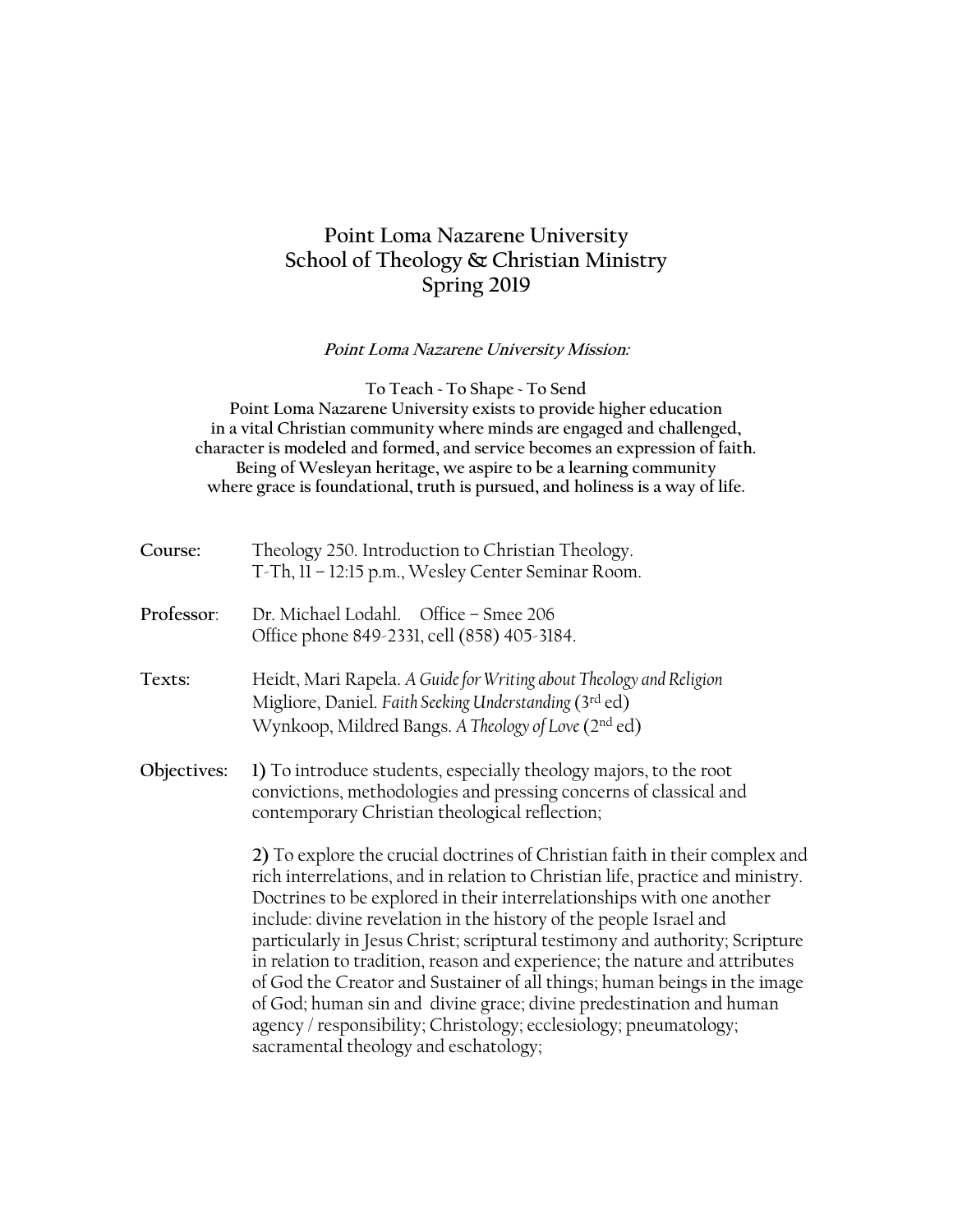# **Point Loma Nazarene University School of Theology & Christian Ministry Spring 2019**

**Point Loma Nazarene University Mission:**

**To Teach ~ To Shape ~ To Send Point Loma Nazarene University exists to provide higher education in a vital Christian community where minds are engaged and challenged, character is modeled and formed, and service becomes an expression of faith. Being of Wesleyan heritage, we aspire to be a learning community where grace is foundational, truth is pursued, and holiness is a way of life.**

| Course:     | Theology 250. Introduction to Christian Theology.<br>T-Th, 11 - 12:15 p.m., Wesley Center Seminar Room.                                                                                                                                                                                                                                                                                                                                                                                                                                                                                                                                                                                                                                     |
|-------------|---------------------------------------------------------------------------------------------------------------------------------------------------------------------------------------------------------------------------------------------------------------------------------------------------------------------------------------------------------------------------------------------------------------------------------------------------------------------------------------------------------------------------------------------------------------------------------------------------------------------------------------------------------------------------------------------------------------------------------------------|
| Professor:  | Dr. Michael Lodahl. Office - Smee 206<br>Office phone 849-2331, cell (858) 405-3184.                                                                                                                                                                                                                                                                                                                                                                                                                                                                                                                                                                                                                                                        |
| Texts:      | Heidt, Mari Rapela. A Guide for Writing about Theology and Religion<br>Migliore, Daniel. Faith Seeking Understanding (3rd ed)<br>Wynkoop, Mildred Bangs. A Theology of Love (2nd ed)                                                                                                                                                                                                                                                                                                                                                                                                                                                                                                                                                        |
| Objectives: | 1) To introduce students, especially theology majors, to the root<br>convictions, methodologies and pressing concerns of classical and<br>contemporary Christian theological reflection;                                                                                                                                                                                                                                                                                                                                                                                                                                                                                                                                                    |
|             | 2) To explore the crucial doctrines of Christian faith in their complex and<br>rich interrelations, and in relation to Christian life, practice and ministry.<br>Doctrines to be explored in their interrelationships with one another<br>include: divine revelation in the history of the people Israel and<br>particularly in Jesus Christ; scriptural testimony and authority; Scripture<br>in relation to tradition, reason and experience; the nature and attributes<br>of God the Creator and Sustainer of all things; human beings in the image<br>of God; human sin and divine grace; divine predestination and human<br>agency / responsibility; Christology; ecclesiology; pneumatology;<br>sacramental theology and eschatology; |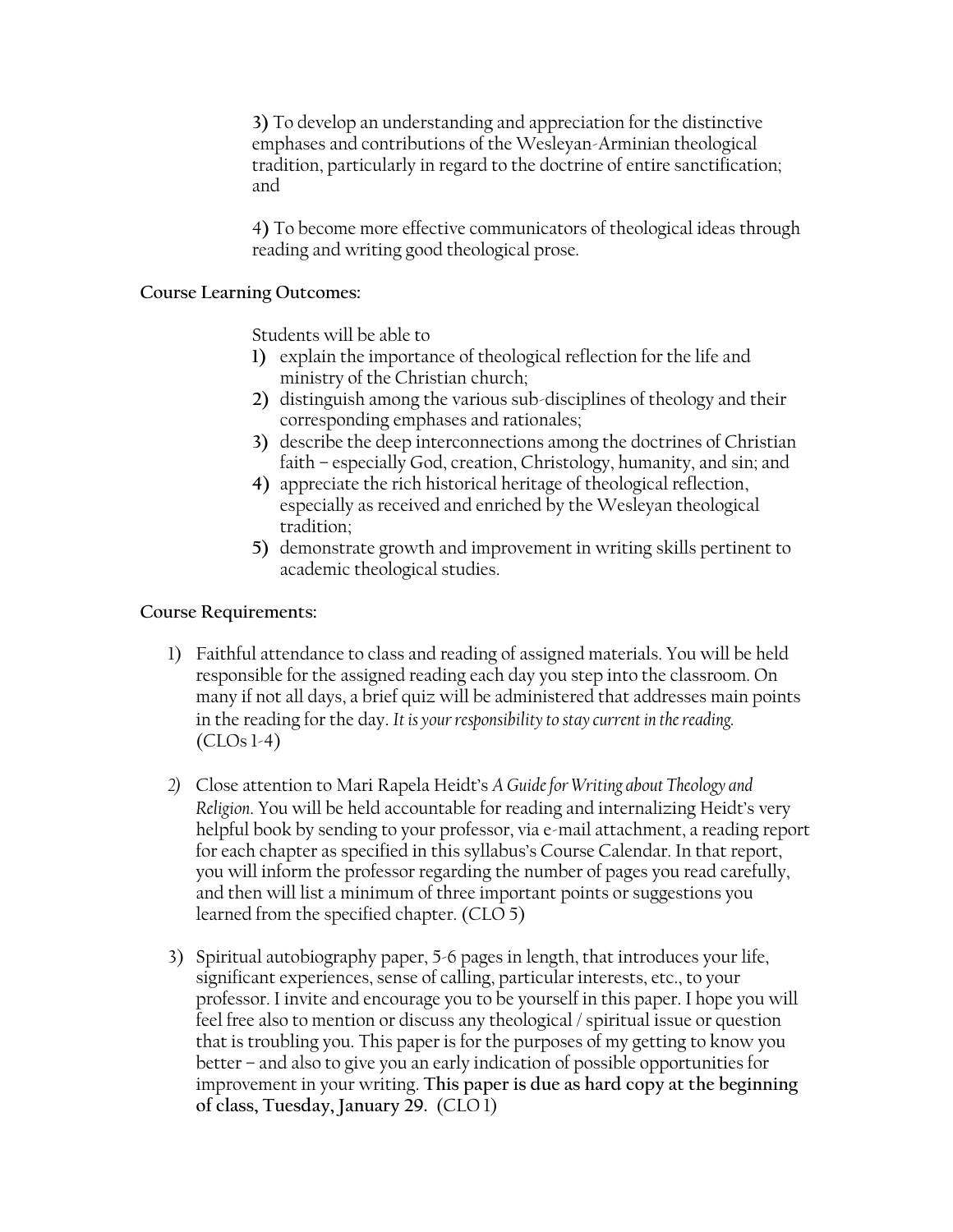**3)** To develop an understanding and appreciation for the distinctive emphases and contributions of the Wesleyan-Arminian theological tradition, particularly in regard to the doctrine of entire sanctification; and

4**)** To become more effective communicators of theological ideas through reading and writing good theological prose.

#### **Course Learning Outcomes:**

Students will be able to

- **1)** explain the importance of theological reflection for the life and ministry of the Christian church;
- **2)** distinguish among the various sub-disciplines of theology and their corresponding emphases and rationales;
- **3)** describe the deep interconnections among the doctrines of Christian faith – especially God, creation, Christology, humanity, and sin; and
- **4)** appreciate the rich historical heritage of theological reflection, especially as received and enriched by the Wesleyan theological tradition;
- **5)** demonstrate growth and improvement in writing skills pertinent to academic theological studies.

#### **Course Requirements:**

- 1) Faithful attendance to class and reading of assigned materials. You will be held responsible for the assigned reading each day you step into the classroom. On many if not all days, a brief quiz will be administered that addresses main points in the reading for the day. *It is your responsibility to stay current in the reading.*  $(CLOs 1-4)$
- *2)* Close attention to Mari Rapela Heidt's *A Guide for Writing about Theology and Religion*. You will be held accountable for reading and internalizing Heidt's very helpful book by sending to your professor, via e-mail attachment, a reading report for each chapter as specified in this syllabus's Course Calendar. In that report, you will inform the professor regarding the number of pages you read carefully, and then will list a minimum of three important points or suggestions you learned from the specified chapter. (CLO 5)
- 3) Spiritual autobiography paper, 5-6 pages in length, that introduces your life, significant experiences, sense of calling, particular interests, etc., to your professor. I invite and encourage you to be yourself in this paper. I hope you will feel free also to mention or discuss any theological / spiritual issue or question that is troubling you. This paper is for the purposes of my getting to know you better – and also to give you an early indication of possible opportunities for improvement in your writing. **This paper is due as hard copy at the beginning of class, Tuesday, January 29.** (CLO 1)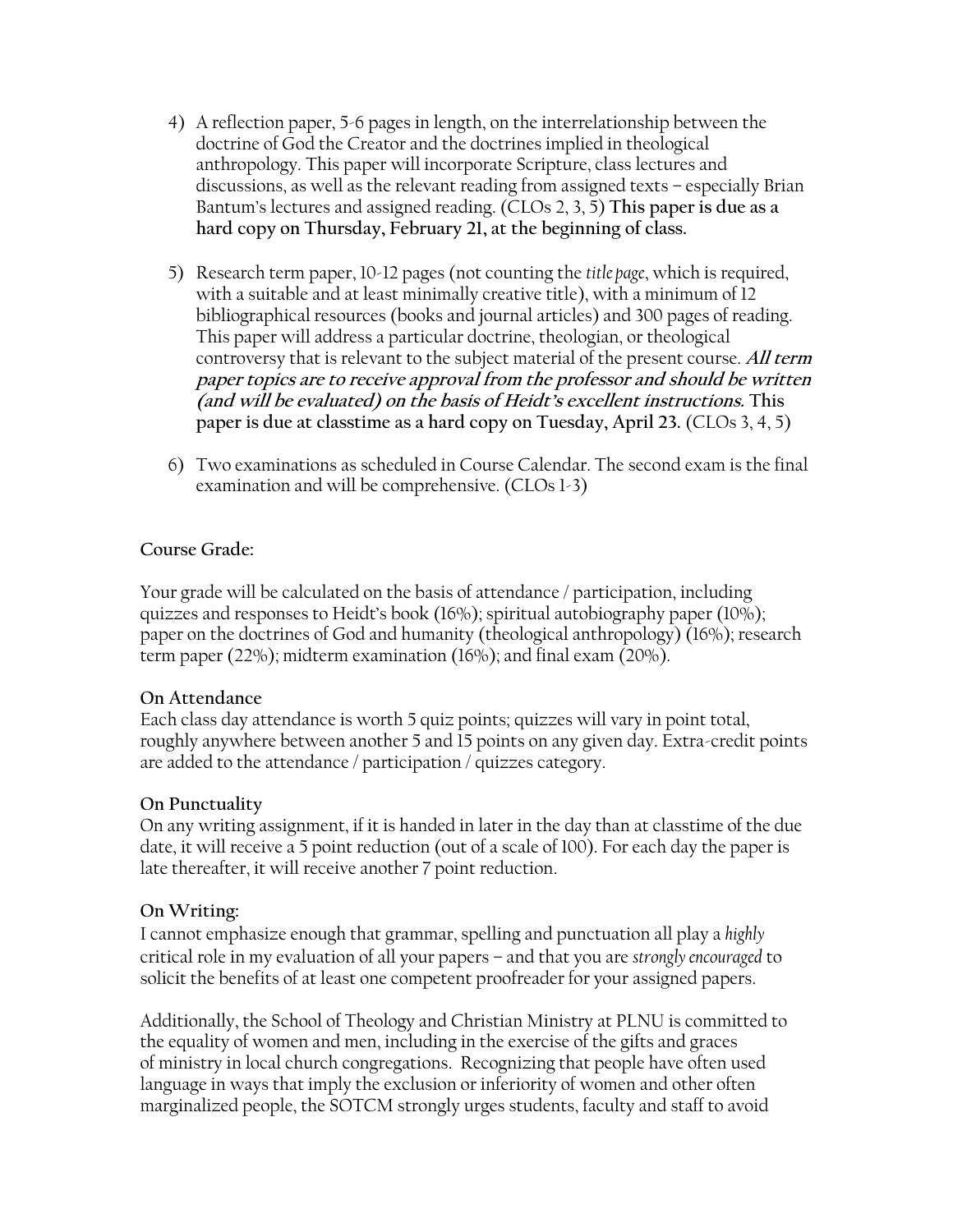- 4) A reflection paper, 5-6 pages in length, on the interrelationship between the doctrine of God the Creator and the doctrines implied in theological anthropology. This paper will incorporate Scripture, class lectures and discussions, as well as the relevant reading from assigned texts – especially Brian Bantum's lectures and assigned reading. (CLOs 2, 3, 5) **This paper is due as a hard copy on Thursday, February 21, at the beginning of class.**
- 5) Research term paper, 10-12 pages (not counting the *title page*, which is required, with a suitable and at least minimally creative title), with a minimum of 12 bibliographical resources (books and journal articles) and 300 pages of reading. This paper will address a particular doctrine, theologian, or theological controversy that is relevant to the subject material of the present course. **All term paper topics are to receive approval from the professor and should be written (and will be evaluated) on the basis of Heidt's excellent instructions. This paper is due at classtime as a hard copy on Tuesday, April 23.** (CLOs 3, 4, 5)
- 6) Two examinations as scheduled in Course Calendar. The second exam is the final examination and will be comprehensive. (CLOs 1-3)

### **Course Grade:**

Your grade will be calculated on the basis of attendance / participation, including quizzes and responses to Heidt's book (16%); spiritual autobiography paper (10%); paper on the doctrines of God and humanity (theological anthropology) (16%); research term paper (22%); midterm examination (16%); and final exam (20%).

#### **On Attendance**

Each class day attendance is worth 5 quiz points; quizzes will vary in point total, roughly anywhere between another 5 and 15 points on any given day. Extra-credit points are added to the attendance / participation / quizzes category.

### **On Punctuality**

On any writing assignment, if it is handed in later in the day than at classtime of the due date, it will receive a 5 point reduction (out of a scale of 100). For each day the paper is late thereafter, it will receive another 7 point reduction.

### **On Writing:**

I cannot emphasize enough that grammar, spelling and punctuation all play a *highly*  critical role in my evaluation of all your papers – and that you are *strongly encouraged* to solicit the benefits of at least one competent proofreader for your assigned papers.

Additionally, the School of Theology and Christian Ministry at PLNU is committed to the equality of women and men, including in the exercise of the gifts and graces of ministry in local church congregations. Recognizing that people have often used language in ways that imply the exclusion or inferiority of women and other often marginalized people, the SOTCM strongly urges students, faculty and staff to avoid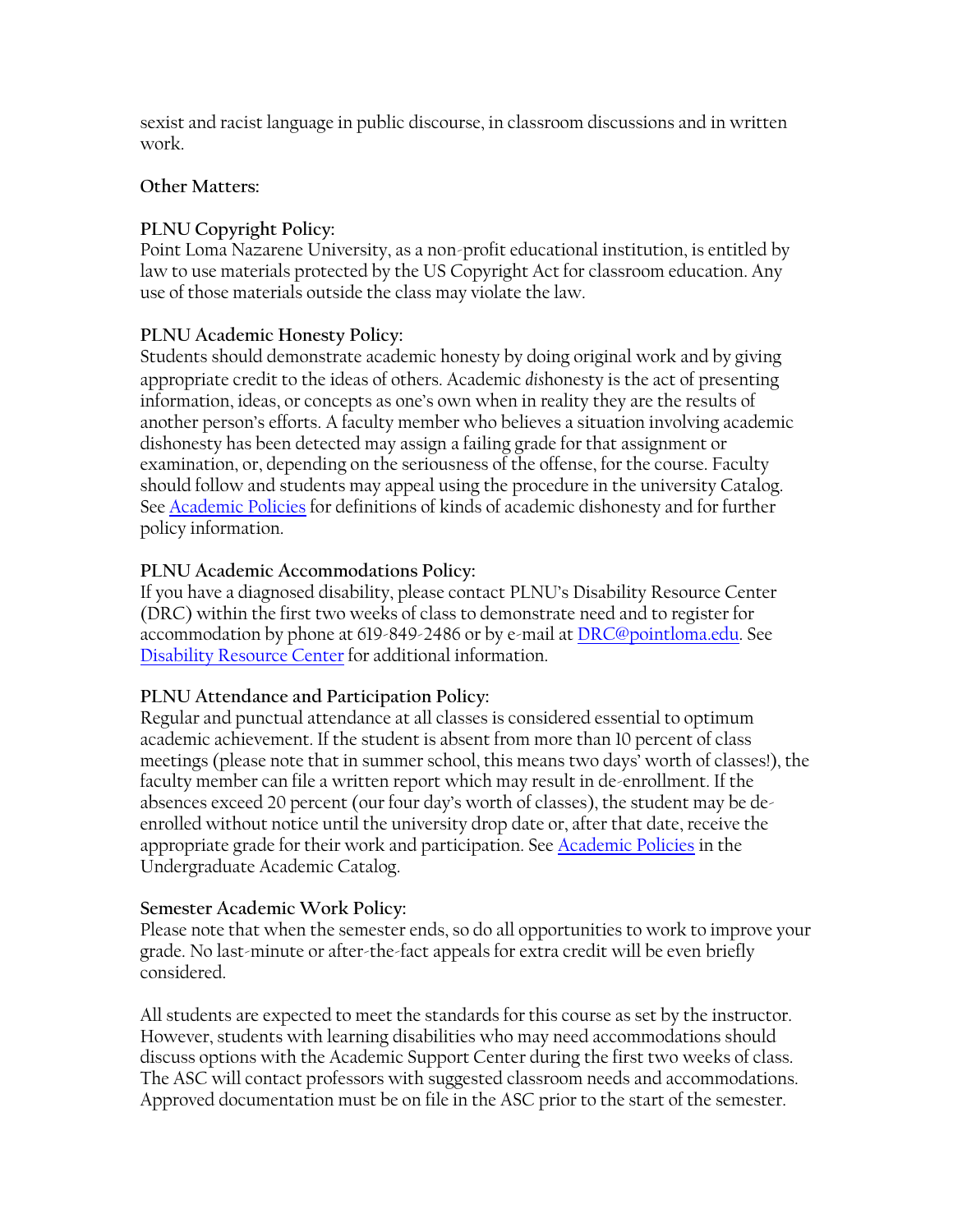sexist and racist language in public discourse, in classroom discussions and in written work.

### **Other Matters:**

## **PLNU Copyright Policy:**

Point Loma Nazarene University, as a non-profit educational institution, is entitled by law to use materials protected by the US Copyright Act for classroom education. Any use of those materials outside the class may violate the law.

### **PLNU Academic Honesty Policy:**

Students should demonstrate academic honesty by doing original work and by giving appropriate credit to the ideas of others. Academic *dis*honesty is the act of presenting information, ideas, or concepts as one's own when in reality they are the results of another person's efforts. A faculty member who believes a situation involving academic dishonesty has been detected may assign a failing grade for that assignment or examination, or, depending on the seriousness of the offense, for the course. Faculty should follow and students may appeal using the procedure in the university Catalog. See [Academic Policies](http://catalog.pointloma.edu/content.php?catoid=18&navoid=1278) for definitions of kinds of academic dishonesty and for further policy information.

### **PLNU Academic Accommodations Policy:**

If you have a diagnosed disability, please contact PLNU's Disability Resource Center (DRC) within the first two weeks of class to demonstrate need and to register for accommodation by phone at 619-849-2486 or by e-mail at [DRC@pointloma.edu.](mailto:DRC@pointloma.edu) See [Disability Resource Center](http://www.pointloma.edu/experience/offices/administrative-offices/academic-advising-office/disability-resource-center) for additional information.

## **PLNU Attendance and Participation Policy:**

Regular and punctual attendance at all classes is considered essential to optimum academic achievement. If the student is absent from more than 10 percent of class meetings (please note that in summer school, this means two days' worth of classes!), the faculty member can file a written report which may result in de-enrollment. If the absences exceed 20 percent (our four day's worth of classes), the student may be deenrolled without notice until the university drop date or, after that date, receive the appropriate grade for their work and participation. See **Academic Policies** in the Undergraduate Academic Catalog.

### **Semester Academic Work Policy:**

Please note that when the semester ends, so do all opportunities to work to improve your grade. No last-minute or after-the-fact appeals for extra credit will be even briefly considered.

All students are expected to meet the standards for this course as set by the instructor. However, students with learning disabilities who may need accommodations should discuss options with the Academic Support Center during the first two weeks of class. The ASC will contact professors with suggested classroom needs and accommodations. Approved documentation must be on file in the ASC prior to the start of the semester.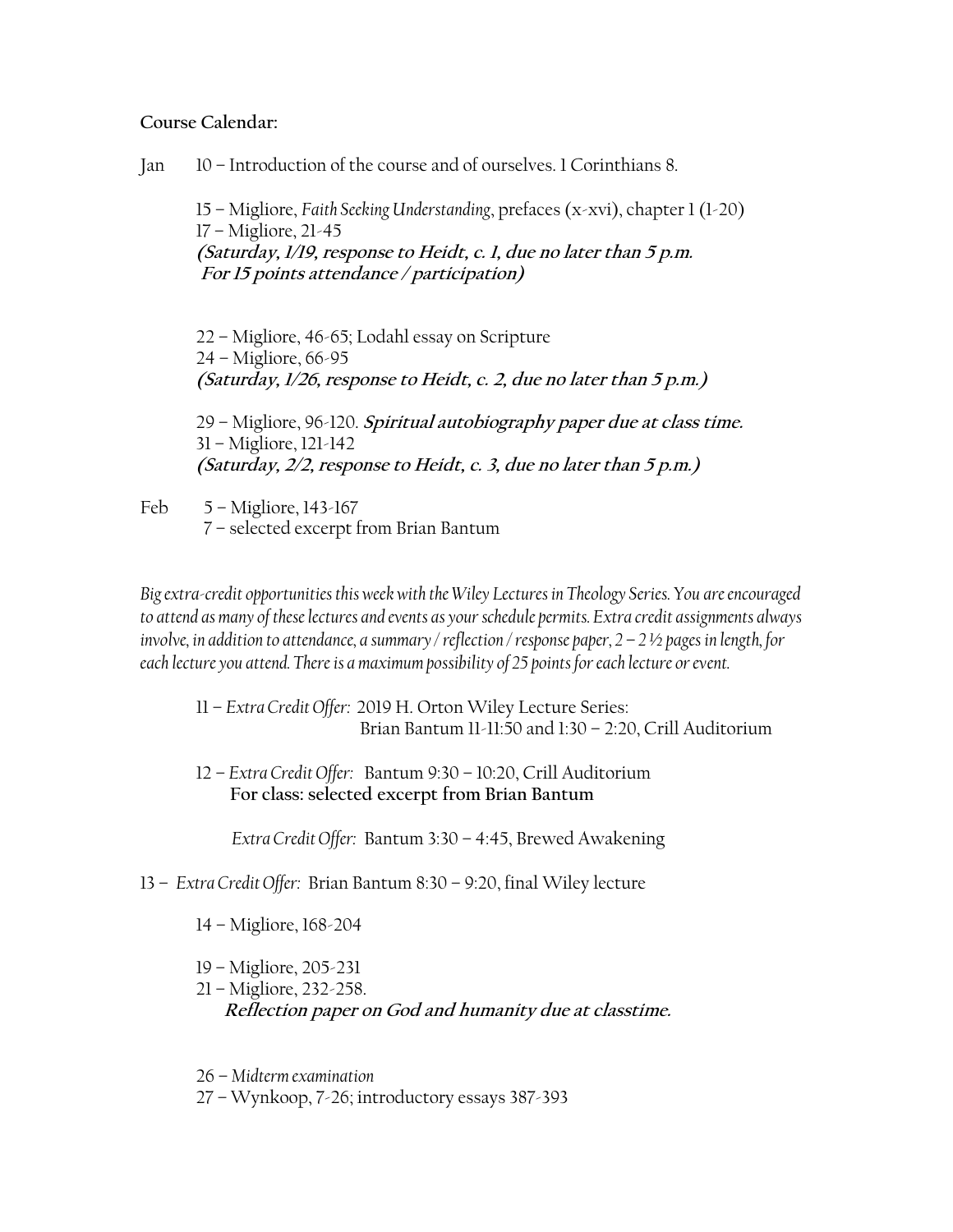#### **Course Calendar:**

Jan 10 – Introduction of the course and of ourselves. 1 Corinthians 8.

15 – Migliore, *Faith Seeking Understanding*, prefaces (x-xvi), chapter 1 (1-20) 17 – Migliore, 21-45 **(Saturday, 1/19, response to Heidt, c. 1, due no later than 5 p.m. For 15 points attendance / participation)**

22 – Migliore, 46-65; Lodahl essay on Scripture 24 – Migliore, 66-95 **(Saturday, 1/26, response to Heidt, c. 2, due no later than 5 p.m.)**

29 – Migliore, 96-120. **Spiritual autobiography paper due at class time.** 31 – Migliore, 121-142 **(Saturday, 2/2, response to Heidt, c. 3, due no later than 5 p.m.)**

Feb 5 – Migliore, 143-167 7 – selected excerpt from Brian Bantum

*Big extra-credit opportunities this week with the Wiley Lectures in Theology Series. You are encouraged to attend as many of these lectures and events as your schedule permits. Extra credit assignments always involve, in addition to attendance, a summary / reflection / response paper, 2 – 2 ½ pages in length, for each lecture you attend. There is a maximum possibility of 25 points for each lecture or event.*

11 – *Extra Credit Offer:* 2019 H. Orton Wiley Lecture Series: Brian Bantum 11-11:50 and 1:30 – 2:20, Crill Auditorium

12 – *Extra Credit Offer:* Bantum 9:30 – 10:20, Crill Auditorium  **For class: selected excerpt from Brian Bantum**

*Extra Credit Offer:* Bantum 3:30 – 4:45, Brewed Awakening

- 13 *Extra Credit Offer:* Brian Bantum 8:30 9:20, final Wiley lecture
	- 14 Migliore, 168-204
	- 19 Migliore, 205-231
	- 21 Migliore, 232-258.

**Reflection paper on God and humanity due at classtime.**

26 – *Midterm examination*

27 – Wynkoop, 7-26; introductory essays 387-393